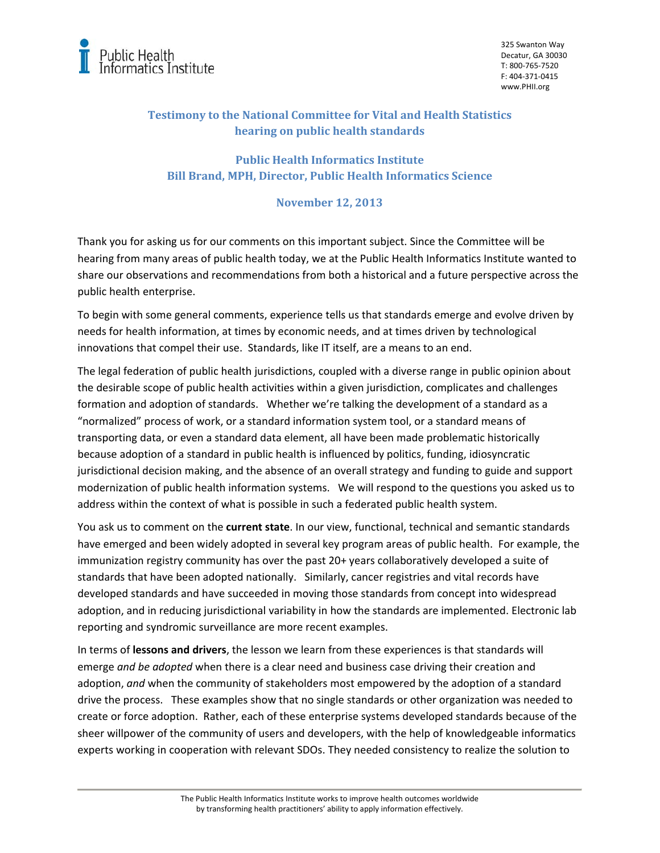

325 Swanton Way Decatur, GA 30030 T: 800‐765‐7520 F: 404‐371‐0415 www.PHII.org

## **Testimony to the National Committee for Vital and Health Statistics hearing on public health standards**

## **Public Health Informatics Institute Bill Brand, MPH, Director, Public Health Informatics Science**

## **November 12, 2013**

Thank you for asking us for our comments on this important subject. Since the Committee will be hearing from many areas of public health today, we at the Public Health Informatics Institute wanted to share our observations and recommendations from both a historical and a future perspective across the public health enterprise.

To begin with some general comments, experience tells us that standards emerge and evolve driven by needs for health information, at times by economic needs, and at times driven by technological innovations that compel their use. Standards, like IT itself, are a means to an end.

The legal federation of public health jurisdictions, coupled with a diverse range in public opinion about the desirable scope of public health activities within a given jurisdiction, complicates and challenges formation and adoption of standards. Whether we're talking the development of a standard as a "normalized" process of work, or a standard information system tool, or a standard means of transporting data, or even a standard data element, all have been made problematic historically because adoption of a standard in public health is influenced by politics, funding, idiosyncratic jurisdictional decision making, and the absence of an overall strategy and funding to guide and support modernization of public health information systems. We will respond to the questions you asked us to address within the context of what is possible in such a federated public health system.

You ask us to comment on the **current state**. In our view, functional, technical and semantic standards have emerged and been widely adopted in several key program areas of public health. For example, the immunization registry community has over the past 20+ years collaboratively developed a suite of standards that have been adopted nationally. Similarly, cancer registries and vital records have developed standards and have succeeded in moving those standards from concept into widespread adoption, and in reducing jurisdictional variability in how the standards are implemented. Electronic lab reporting and syndromic surveillance are more recent examples.

In terms of **lessons and drivers**, the lesson we learn from these experiences is that standards will emerge *and be adopted* when there is a clear need and business case driving their creation and adoption, *and* when the community of stakeholders most empowered by the adoption of a standard drive the process. These examples show that no single standards or other organization was needed to create or force adoption. Rather, each of these enterprise systems developed standards because of the sheer willpower of the community of users and developers, with the help of knowledgeable informatics experts working in cooperation with relevant SDOs. They needed consistency to realize the solution to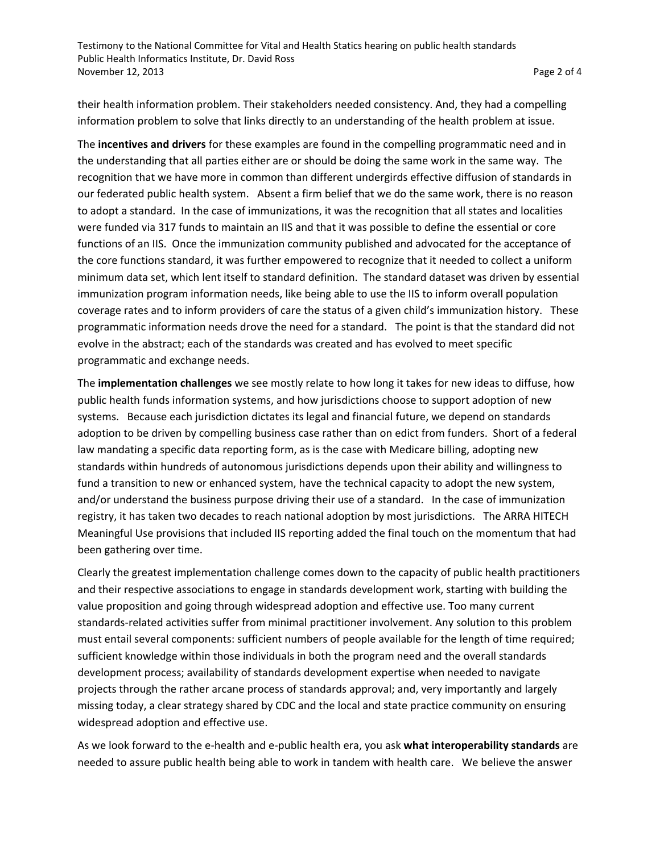their health information problem. Their stakeholders needed consistency. And, they had a compelling information problem to solve that links directly to an understanding of the health problem at issue.

The **incentives and drivers** for these examples are found in the compelling programmatic need and in the understanding that all parties either are or should be doing the same work in the same way. The recognition that we have more in common than different undergirds effective diffusion of standards in our federated public health system. Absent a firm belief that we do the same work, there is no reason to adopt a standard. In the case of immunizations, it was the recognition that all states and localities were funded via 317 funds to maintain an IIS and that it was possible to define the essential or core functions of an IIS. Once the immunization community published and advocated for the acceptance of the core functions standard, it was further empowered to recognize that it needed to collect a uniform minimum data set, which lent itself to standard definition. The standard dataset was driven by essential immunization program information needs, like being able to use the IIS to inform overall population coverage rates and to inform providers of care the status of a given child's immunization history. These programmatic information needs drove the need for a standard. The point is that the standard did not evolve in the abstract; each of the standards was created and has evolved to meet specific programmatic and exchange needs.

The **implementation challenges** we see mostly relate to how long it takes for new ideas to diffuse, how public health funds information systems, and how jurisdictions choose to support adoption of new systems. Because each jurisdiction dictates its legal and financial future, we depend on standards adoption to be driven by compelling business case rather than on edict from funders. Short of a federal law mandating a specific data reporting form, as is the case with Medicare billing, adopting new standards within hundreds of autonomous jurisdictions depends upon their ability and willingness to fund a transition to new or enhanced system, have the technical capacity to adopt the new system, and/or understand the business purpose driving their use of a standard. In the case of immunization registry, it has taken two decades to reach national adoption by most jurisdictions. The ARRA HITECH Meaningful Use provisions that included IIS reporting added the final touch on the momentum that had been gathering over time.

Clearly the greatest implementation challenge comes down to the capacity of public health practitioners and their respective associations to engage in standards development work, starting with building the value proposition and going through widespread adoption and effective use. Too many current standards‐related activities suffer from minimal practitioner involvement. Any solution to this problem must entail several components: sufficient numbers of people available for the length of time required; sufficient knowledge within those individuals in both the program need and the overall standards development process; availability of standards development expertise when needed to navigate projects through the rather arcane process of standards approval; and, very importantly and largely missing today, a clear strategy shared by CDC and the local and state practice community on ensuring widespread adoption and effective use.

As we look forward to the e‐health and e‐public health era, you ask **what interoperability standards** are needed to assure public health being able to work in tandem with health care. We believe the answer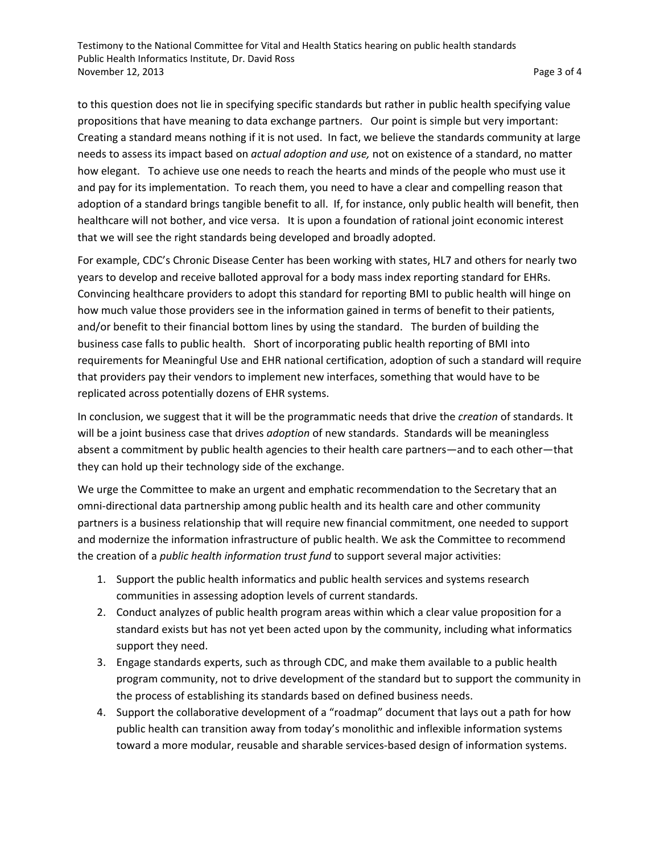Testimony to the National Committee for Vital and Health Statics hearing on public health standards Public Health Informatics Institute, Dr. David Ross November 12, 2013  **Page 3 of 4** Page 3 of 4

to this question does not lie in specifying specific standards but rather in public health specifying value propositions that have meaning to data exchange partners. Our point is simple but very important: Creating a standard means nothing if it is not used. In fact, we believe the standards community at large needs to assess its impact based on *actual adoption and use,* not on existence of a standard, no matter how elegant. To achieve use one needs to reach the hearts and minds of the people who must use it and pay for its implementation. To reach them, you need to have a clear and compelling reason that adoption of a standard brings tangible benefit to all. If, for instance, only public health will benefit, then healthcare will not bother, and vice versa. It is upon a foundation of rational joint economic interest that we will see the right standards being developed and broadly adopted.

For example, CDC's Chronic Disease Center has been working with states, HL7 and others for nearly two years to develop and receive balloted approval for a body mass index reporting standard for EHRs. Convincing healthcare providers to adopt this standard for reporting BMI to public health will hinge on how much value those providers see in the information gained in terms of benefit to their patients, and/or benefit to their financial bottom lines by using the standard. The burden of building the business case falls to public health. Short of incorporating public health reporting of BMI into requirements for Meaningful Use and EHR national certification, adoption of such a standard will require that providers pay their vendors to implement new interfaces, something that would have to be replicated across potentially dozens of EHR systems.

In conclusion, we suggest that it will be the programmatic needs that drive the *creation* of standards. It will be a joint business case that drives *adoption* of new standards. Standards will be meaningless absent a commitment by public health agencies to their health care partners—and to each other—that they can hold up their technology side of the exchange.

We urge the Committee to make an urgent and emphatic recommendation to the Secretary that an omni-directional data partnership among public health and its health care and other community partners is a business relationship that will require new financial commitment, one needed to support and modernize the information infrastructure of public health. We ask the Committee to recommend the creation of a *public health information trust fund* to support several major activities:

- 1. Support the public health informatics and public health services and systems research communities in assessing adoption levels of current standards.
- 2. Conduct analyzes of public health program areas within which a clear value proposition for a standard exists but has not yet been acted upon by the community, including what informatics support they need.
- 3. Engage standards experts, such as through CDC, and make them available to a public health program community, not to drive development of the standard but to support the community in the process of establishing its standards based on defined business needs.
- 4. Support the collaborative development of a "roadmap" document that lays out a path for how public health can transition away from today's monolithic and inflexible information systems toward a more modular, reusable and sharable services‐based design of information systems.